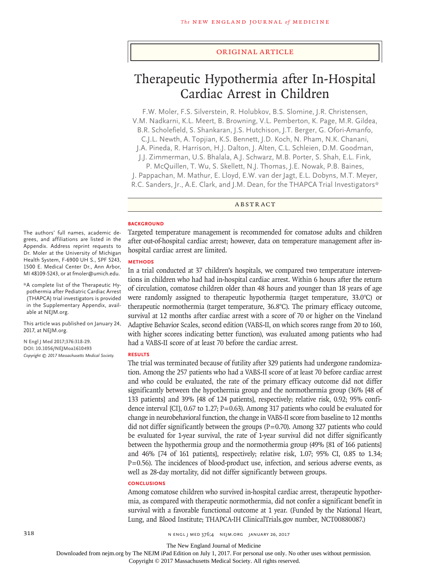## Original Article

# Therapeutic Hypothermia after In-Hospital Cardiac Arrest in Children

F.W. Moler, F.S. Silverstein, R. Holubkov, B.S. Slomine, J.R. Christensen, V.M. Nadkarni, K.L. Meert, B. Browning, V.L. Pemberton, K. Page, M.R. Gildea, B.R. Scholefield, S. Shankaran, J.S. Hutchison, J.T. Berger, G. Ofori-Amanfo, C.J.L. Newth, A. Topjian, K.S. Bennett, J.D. Koch, N. Pham, N.K. Chanani, J.A. Pineda, R. Harrison, H.J. Dalton, J. Alten, C.L. Schleien, D.M. Goodman, J.J. Zimmerman, U.S. Bhalala, A.J. Schwarz, M.B. Porter, S. Shah, E.L. Fink, P. McQuillen, T. Wu, S. Skellett, N.J. Thomas, J.E. Nowak, P.B. Baines, J. Pappachan, M. Mathur, E. Lloyd, E.W. van der Jagt, E.L. Dobyns, M.T. Meyer, R.C. Sanders, Jr., A.E. Clark, and J.M. Dean, for the THAPCA Trial Investigators\*

#### ABSTRACT

## **BACKGROUND**

Targeted temperature management is recommended for comatose adults and children after out-of-hospital cardiac arrest; however, data on temperature management after inhospital cardiac arrest are limited.

## **METHODS**

In a trial conducted at 37 children's hospitals, we compared two temperature interventions in children who had had in-hospital cardiac arrest. Within 6 hours after the return of circulation, comatose children older than 48 hours and younger than 18 years of age were randomly assigned to therapeutic hypothermia (target temperature, 33.0°C) or therapeutic normothermia (target temperature, 36.8°C). The primary efficacy outcome, survival at 12 months after cardiac arrest with a score of 70 or higher on the Vineland Adaptive Behavior Scales, second edition (VABS-II, on which scores range from 20 to 160, with higher scores indicating better function), was evaluated among patients who had had a VABS-II score of at least 70 before the cardiac arrest.

## **RESULTS**

The trial was terminated because of futility after 329 patients had undergone randomization. Among the 257 patients who had a VABS-II score of at least 70 before cardiac arrest and who could be evaluated, the rate of the primary efficacy outcome did not differ significantly between the hypothermia group and the normothermia group (36% [48 of 133 patients] and 39% [48 of 124 patients], respectively; relative risk, 0.92; 95% confidence interval [CI], 0.67 to 1.27; P=0.63). Among 317 patients who could be evaluated for change in neurobehavioral function, the change in VABS-II score from baseline to 12 months did not differ significantly between the groups  $(P=0.70)$ . Among 327 patients who could be evaluated for 1-year survival, the rate of 1-year survival did not differ significantly between the hypothermia group and the normothermia group (49% [81 of 166 patients] and 46% [74 of 161 patients], respectively; relative risk, 1.07; 95% CI, 0.85 to 1.34;  $P=0.56$ ). The incidences of blood-product use, infection, and serious adverse events, as well as 28-day mortality, did not differ significantly between groups.

#### **CONCLUSIONS**

Among comatose children who survived in-hospital cardiac arrest, therapeutic hypothermia, as compared with therapeutic normothermia, did not confer a significant benefit in survival with a favorable functional outcome at 1 year. (Funded by the National Heart, Lung, and Blood Institute; THAPCA-IH ClinicalTrials.gov number, NCT00880087.)

The authors' full names, academic degrees, and affiliations are listed in the Appendix. Address reprint requests to Dr. Moler at the University of Michigan Health System, F-6900 UH S., SPF 5243, 1500 E. Medical Center Dr., Ann Arbor, MI 48109-5243, or at fmoler@umich.edu.

\*A complete list of the Therapeutic Hypothermia after Pediatric Cardiac Arrest (THAPCA) trial investigators is provided in the Supplementary Appendix, available at NEJM.org.

This article was published on January 24, 2017, at NEJM.org.

**N Engl J Med 2017;376:318-29. DOI: 10.1056/NEJMoa1610493** *Copyright © 2017 Massachusetts Medical Society.*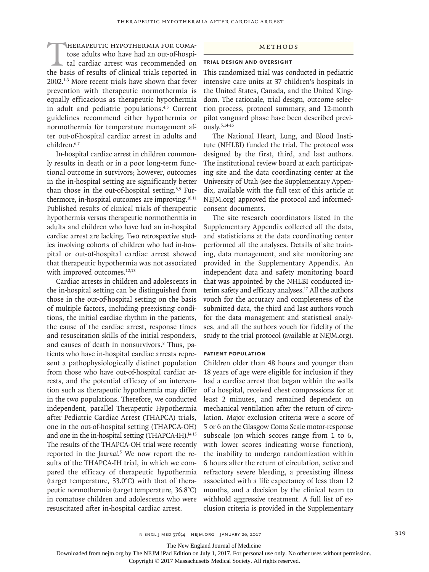HERAPEUTIC HYPOTHERMIA FOR COMA-<br>tose adults who have had an out-of-hospi-<br>tal cardiac arrest was recommended on<br>the basis of results of clinical trials reported in tose adults who have had an out-of-hospital cardiac arrest was recommended on 2002.1-3 More recent trials have shown that fever prevention with therapeutic normothermia is equally efficacious as therapeutic hypothermia in adult and pediatric populations.4,5 Current guidelines recommend either hypothermia or normothermia for temperature management after out-of-hospital cardiac arrest in adults and children.6,7

In-hospital cardiac arrest in children commonly results in death or in a poor long-term functional outcome in survivors; however, outcomes in the in-hospital setting are significantly better than those in the out-of-hospital setting.8,9 Furthermore, in-hospital outcomes are improving. $10,11$ Published results of clinical trials of therapeutic hypothermia versus therapeutic normothermia in adults and children who have had an in-hospital cardiac arrest are lacking. Two retrospective studies involving cohorts of children who had in-hospital or out-of-hospital cardiac arrest showed that therapeutic hypothermia was not associated with improved outcomes.<sup>12,13</sup>

Cardiac arrests in children and adolescents in the in-hospital setting can be distinguished from those in the out-of-hospital setting on the basis of multiple factors, including preexisting conditions, the initial cardiac rhythm in the patients, the cause of the cardiac arrest, response times and resuscitation skills of the initial responders, and causes of death in nonsurvivors.<sup>8</sup> Thus, patients who have in-hospital cardiac arrests represent a pathophysiologically distinct population from those who have out-of-hospital cardiac arrests, and the potential efficacy of an intervention such as therapeutic hypothermia may differ in the two populations. Therefore, we conducted independent, parallel Therapeutic Hypothermia after Pediatric Cardiac Arrest (THAPCA) trials, one in the out-of-hospital setting (THAPCA-OH) and one in the in-hospital setting (THAPCA-IH). $14,15$ The results of the THAPCA-OH trial were recently reported in the *Journal*. 5 We now report the results of the THAPCA-IH trial, in which we compared the efficacy of therapeutic hypothermia (target temperature, 33.0°C) with that of therapeutic normothermia (target temperature, 36.8°C) in comatose children and adolescents who were resuscitated after in-hospital cardiac arrest.

#### Methods

#### **Trial Design and Oversight**

This randomized trial was conducted in pediatric intensive care units at 37 children's hospitals in the United States, Canada, and the United Kingdom. The rationale, trial design, outcome selection process, protocol summary, and 12-month pilot vanguard phase have been described previously.5,14-16

The National Heart, Lung, and Blood Institute (NHLBI) funded the trial. The protocol was designed by the first, third, and last authors. The institutional review board at each participating site and the data coordinating center at the University of Utah (see the Supplementary Appendix, available with the full text of this article at NEJM.org) approved the protocol and informedconsent documents.

The site research coordinators listed in the Supplementary Appendix collected all the data, and statisticians at the data coordinating center performed all the analyses. Details of site training, data management, and site monitoring are provided in the Supplementary Appendix. An independent data and safety monitoring board that was appointed by the NHLBI conducted interim safety and efficacy analyses.<sup>17</sup> All the authors vouch for the accuracy and completeness of the submitted data, the third and last authors vouch for the data management and statistical analyses, and all the authors vouch for fidelity of the study to the trial protocol (available at NEJM.org).

## **Patient Population**

Children older than 48 hours and younger than 18 years of age were eligible for inclusion if they had a cardiac arrest that began within the walls of a hospital, received chest compressions for at least 2 minutes, and remained dependent on mechanical ventilation after the return of circulation. Major exclusion criteria were a score of 5 or 6 on the Glasgow Coma Scale motor-response subscale (on which scores range from 1 to 6, with lower scores indicating worse function), the inability to undergo randomization within 6 hours after the return of circulation, active and refractory severe bleeding, a preexisting illness associated with a life expectancy of less than 12 months, and a decision by the clinical team to withhold aggressive treatment. A full list of exclusion criteria is provided in the Supplementary

The New England Journal of Medicine

Downloaded from nejm.org by The NEJM iPad Edition on July 1, 2017. For personal use only. No other uses without permission.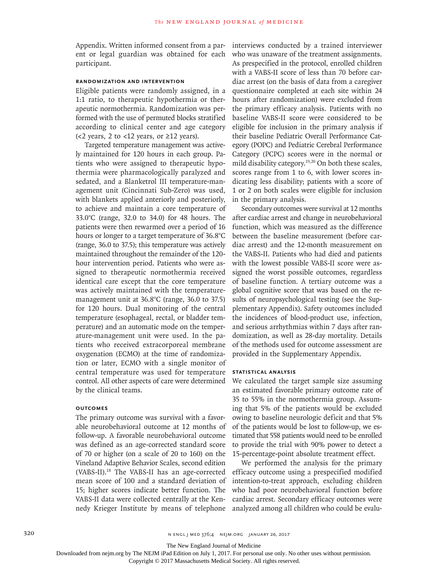Appendix. Written informed consent from a parent or legal guardian was obtained for each participant.

# **Randomization and Intervention**

Eligible patients were randomly assigned, in a 1:1 ratio, to therapeutic hypothermia or therapeutic normothermia. Randomization was performed with the use of permuted blocks stratified according to clinical center and age category (<2 years, 2 to <12 years, or  $\geq$ 12 years).

Targeted temperature management was actively maintained for 120 hours in each group. Patients who were assigned to therapeutic hypothermia were pharmacologically paralyzed and sedated, and a Blanketrol III temperature-management unit (Cincinnati Sub-Zero) was used, with blankets applied anteriorly and posteriorly, to achieve and maintain a core temperature of 33.0°C (range, 32.0 to 34.0) for 48 hours. The patients were then rewarmed over a period of 16 hours or longer to a target temperature of 36.8°C (range, 36.0 to 37.5); this temperature was actively maintained throughout the remainder of the 120 hour intervention period. Patients who were assigned to therapeutic normothermia received identical care except that the core temperature was actively maintained with the temperaturemanagement unit at 36.8°C (range, 36.0 to 37.5) for 120 hours. Dual monitoring of the central temperature (esophageal, rectal, or bladder temperature) and an automatic mode on the temperature-management unit were used. In the patients who received extracorporeal membrane oxygenation (ECMO) at the time of randomization or later, ECMO with a single monitor of central temperature was used for temperature control. All other aspects of care were determined by the clinical teams.

# **Outcomes**

The primary outcome was survival with a favorable neurobehavioral outcome at 12 months of follow-up. A favorable neurobehavioral outcome was defined as an age-corrected standard score of 70 or higher (on a scale of 20 to 160) on the Vineland Adaptive Behavior Scales, second edition (VABS-II).18 The VABS-II has an age-corrected mean score of 100 and a standard deviation of 15; higher scores indicate better function. The VABS-II data were collected centrally at the Kennedy Krieger Institute by means of telephone

interviews conducted by a trained interviewer who was unaware of the treatment assignments. As prespecified in the protocol, enrolled children with a VABS-II score of less than 70 before cardiac arrest (on the basis of data from a caregiver questionnaire completed at each site within 24 hours after randomization) were excluded from the primary efficacy analysis. Patients with no baseline VABS-II score were considered to be eligible for inclusion in the primary analysis if their baseline Pediatric Overall Performance Category (POPC) and Pediatric Cerebral Performance Category (PCPC) scores were in the normal or mild disability category.<sup>19,20</sup> On both these scales, scores range from 1 to 6, with lower scores indicating less disability; patients with a score of 1 or 2 on both scales were eligible for inclusion in the primary analysis.

Secondary outcomes were survival at 12 months after cardiac arrest and change in neurobehavioral function, which was measured as the difference between the baseline measurement (before cardiac arrest) and the 12-month measurement on the VABS-II. Patients who had died and patients with the lowest possible VABS-II score were assigned the worst possible outcomes, regardless of baseline function. A tertiary outcome was a global cognitive score that was based on the results of neuropsychological testing (see the Supplementary Appendix). Safety outcomes included the incidences of blood-product use, infection, and serious arrhythmias within 7 days after randomization, as well as 28-day mortality. Details of the methods used for outcome assessment are provided in the Supplementary Appendix.

## **Statistical Analysis**

We calculated the target sample size assuming an estimated favorable primary outcome rate of 35 to 55% in the normothermia group. Assuming that 5% of the patients would be excluded owing to baseline neurologic deficit and that 5% of the patients would be lost to follow-up, we estimated that 558 patients would need to be enrolled to provide the trial with 90% power to detect a 15-percentage-point absolute treatment effect.

We performed the analysis for the primary efficacy outcome using a prespecified modified intention-to-treat approach, excluding children who had poor neurobehavioral function before cardiac arrest. Secondary efficacy outcomes were analyzed among all children who could be evalu-

The New England Journal of Medicine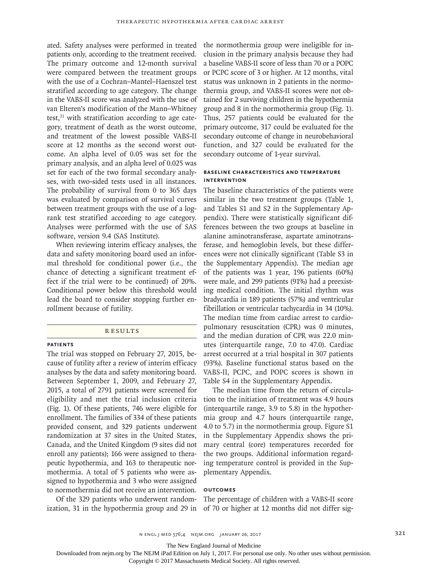ated. Safety analyses were performed in treated patients only, according to the treatment received. The primary outcome and 12-month survival were compared between the treatment groups with the use of a Cochran–Mantel–Haenszel test stratified according to age category. The change in the VABS-II score was analyzed with the use of van Elteren's modification of the Mann–Whitney test, $21$  with stratification according to age category, treatment of death as the worst outcome, and treatment of the lowest possible VABS-II score at 12 months as the second worst outcome. An alpha level of 0.05 was set for the primary analysis, and an alpha level of 0.025 was set for each of the two formal secondary analyses, with two-sided tests used in all instances. The probability of survival from 0 to 365 days was evaluated by comparison of survival curves between treatment groups with the use of a logrank test stratified according to age category. Analyses were performed with the use of SAS software, version 9.4 (SAS Institute).

When reviewing interim efficacy analyses, the data and safety monitoring board used an informal threshold for conditional power (i.e., the chance of detecting a significant treatment effect if the trial were to be continued) of 20%. Conditional power below this threshold would lead the board to consider stopping further enrollment because of futility.

## **RESULTS**

### **Patients**

The trial was stopped on February 27, 2015, because of futility after a review of interim efficacy analyses by the data and safety monitoring board. Between September 1, 2009, and February 27, 2015, a total of 2791 patients were screened for eligibility and met the trial inclusion criteria (Fig. 1). Of these patients, 746 were eligible for enrollment. The families of 334 of these patients provided consent, and 329 patients underwent randomization at 37 sites in the United States, Canada, and the United Kingdom (9 sites did not enroll any patients); 166 were assigned to therapeutic hypothermia, and 163 to therapeutic normothermia. A total of 5 patients who were assigned to hypothermia and 3 who were assigned to normothermia did not receive an intervention.

Of the 329 patients who underwent randomization, 31 in the hypothermia group and 29 in the normothermia group were ineligible for inclusion in the primary analysis because they had a baseline VABS-II score of less than 70 or a POPC or PCPC score of 3 or higher. At 12 months, vital status was unknown in 2 patients in the normothermia group, and VABS-II scores were not obtained for 2 surviving children in the hypothermia group and 8 in the normothermia group (Fig. 1). Thus, 257 patients could be evaluated for the primary outcome, 317 could be evaluated for the secondary outcome of change in neurobehavioral function, and 327 could be evaluated for the secondary outcome of 1-year survival.

# **Baseline Characteristics and Temperature Intervention**

The baseline characteristics of the patients were similar in the two treatment groups (Table 1, and Tables S1 and S2 in the Supplementary Appendix). There were statistically significant differences between the two groups at baseline in alanine aminotransferase, aspartate aminotransferase, and hemoglobin levels, but these differences were not clinically significant (Table S3 in the Supplementary Appendix). The median age of the patients was 1 year, 196 patients (60%) were male, and 299 patients (91%) had a preexisting medical condition. The initial rhythm was bradycardia in 189 patients (57%) and ventricular fibrillation or ventricular tachycardia in 34 (10%). The median time from cardiac arrest to cardiopulmonary resuscitation (CPR) was 0 minutes, and the median duration of CPR was 22.0 minutes (interquartile range, 7.0 to 47.0). Cardiac arrest occurred at a trial hospital in 307 patients (93%). Baseline functional status based on the VABS-II, PCPC, and POPC scores is shown in Table S4 in the Supplementary Appendix.

The median time from the return of circulation to the initiation of treatment was 4.9 hours (interquartile range, 3.9 to 5.8) in the hypothermia group and 4.7 hours (interquartile range, 4.0 to 5.7) in the normothermia group. Figure S1 in the Supplementary Appendix shows the primary central (core) temperatures recorded for the two groups. Additional information regarding temperature control is provided in the Supplementary Appendix.

#### **Outcomes**

The percentage of children with a VABS-II score of 70 or higher at 12 months did not differ sig-

The New England Journal of Medicine

Downloaded from nejm.org by The NEJM iPad Edition on July 1, 2017. For personal use only. No other uses without permission.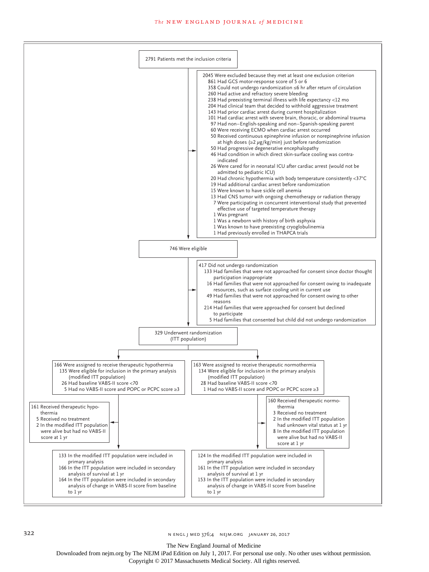#### The NEW ENGLAND JOURNAL of MEDICINE



The New England Journal of Medicine

Downloaded from nejm.org by The NEJM iPad Edition on July 1, 2017. For personal use only. No other uses without permission.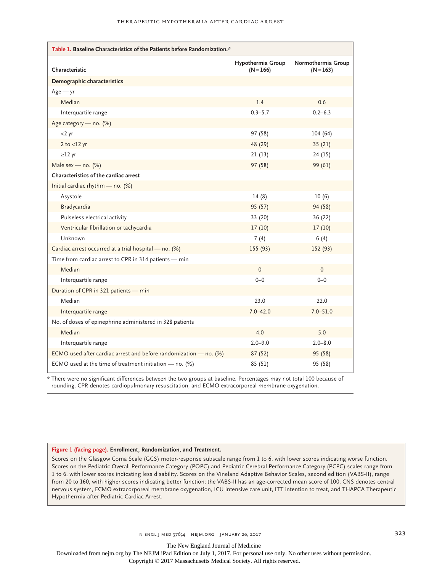| Table 1. Baseline Characteristics of the Patients before Randomization.* |                                  |                                   |  |  |
|--------------------------------------------------------------------------|----------------------------------|-----------------------------------|--|--|
| Characteristic                                                           | Hypothermia Group<br>$(N = 166)$ | Normothermia Group<br>$(N = 163)$ |  |  |
| Demographic characteristics                                              |                                  |                                   |  |  |
| $Age - yr$                                                               |                                  |                                   |  |  |
| Median                                                                   | 1.4                              | 0.6                               |  |  |
| Interquartile range                                                      | $0.3 - 5.7$                      | $0.2 - 6.3$                       |  |  |
| Age category - no. (%)                                                   |                                  |                                   |  |  |
| $<$ 2 yr                                                                 | 97 (58)                          | 104(64)                           |  |  |
| 2 to $<$ 12 yr                                                           | 48 (29)                          | 35(21)                            |  |  |
| $\geq$ 12 yr                                                             | 21(13)                           | 24(15)                            |  |  |
| Male sex - no. $(%)$                                                     | 97(58)                           | 99 (61)                           |  |  |
| Characteristics of the cardiac arrest                                    |                                  |                                   |  |  |
| Initial cardiac rhythm - no. (%)                                         |                                  |                                   |  |  |
| Asystole                                                                 | 14(8)                            | 10(6)                             |  |  |
| Bradycardia                                                              | 95 (57)                          | 94 (58)                           |  |  |
| Pulseless electrical activity                                            | 33 (20)                          | 36 (22)                           |  |  |
| Ventricular fibrillation or tachycardia                                  | 17(10)                           | 17(10)                            |  |  |
| Unknown                                                                  | 7(4)                             | 6(4)                              |  |  |
| Cardiac arrest occurred at a trial hospital - no. (%)                    | 155 (93)                         | 152 (93)                          |  |  |
| Time from cardiac arrest to CPR in 314 patients - min                    |                                  |                                   |  |  |
| Median                                                                   | $\mathbf{0}$                     | $\mathbf{0}$                      |  |  |
| Interquartile range                                                      | $0 - 0$                          | $0 - 0$                           |  |  |
| Duration of CPR in 321 patients - min                                    |                                  |                                   |  |  |
| Median                                                                   | 23.0                             | 22.0                              |  |  |
| Interquartile range                                                      | $7.0 - 42.0$                     | $7.0 - 51.0$                      |  |  |
| No. of doses of epinephrine administered in 328 patients                 |                                  |                                   |  |  |
| Median                                                                   | 4.0                              | 5.0                               |  |  |
| Interquartile range                                                      | $2.0 - 9.0$                      | $2.0 - 8.0$                       |  |  |
| ECMO used after cardiac arrest and before randomization - no. (%)        | 87(52)                           | 95(58)                            |  |  |
| ECMO used at the time of treatment initiation $-$ no. (%)                | 85 (51)                          | 95 (58)                           |  |  |

\* There were no significant differences between the two groups at baseline. Percentages may not total 100 because of rounding. CPR denotes cardiopulmonary resuscitation, and ECMO extracorporeal membrane oxygenation.

## **Figure 1 (facing page). Enrollment, Randomization, and Treatment.**

Scores on the Glasgow Coma Scale (GCS) motor-response subscale range from 1 to 6, with lower scores indicating worse function. Scores on the Pediatric Overall Performance Category (POPC) and Pediatric Cerebral Performance Category (PCPC) scales range from 1 to 6, with lower scores indicating less disability. Scores on the Vineland Adaptive Behavior Scales, second edition (VABS-II), range from 20 to 160, with higher scores indicating better function; the VABS-II has an age-corrected mean score of 100. CNS denotes central nervous system, ECMO extracorporeal membrane oxygenation, ICU intensive care unit, ITT intention to treat, and THAPCA Therapeutic Hypothermia after Pediatric Cardiac Arrest.

The New England Journal of Medicine

Downloaded from nejm.org by The NEJM iPad Edition on July 1, 2017. For personal use only. No other uses without permission.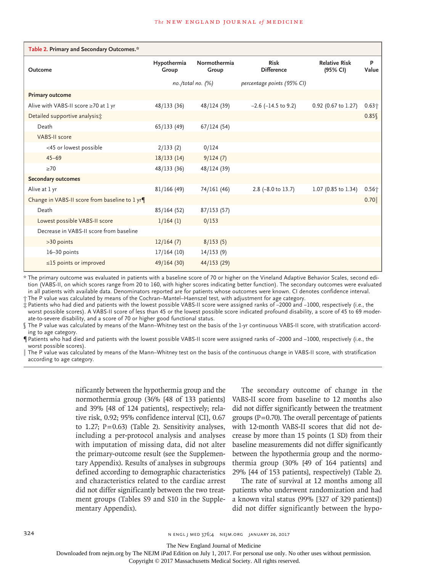| Table 2. Primary and Secondary Outcomes.*      |                      |                       |                            |                                  |               |
|------------------------------------------------|----------------------|-----------------------|----------------------------|----------------------------------|---------------|
| Outcome                                        | Hypothermia<br>Group | Normothermia<br>Group | Risk<br><b>Difference</b>  | <b>Relative Risk</b><br>(95% CI) | P<br>Value    |
|                                                |                      | no. /total no. (%)    | percentage points (95% CI) |                                  |               |
| <b>Primary outcome</b>                         |                      |                       |                            |                                  |               |
| Alive with VABS-II score ≥70 at 1 yr           | 48/133(36)           | 48/124 (39)           | $-2.6$ ( $-14.5$ to 9.2)   | 0.92 (0.67 to 1.27)              | $0.63\dagger$ |
| Detailed supportive analysist:                 |                      |                       |                            |                                  | 0.85          |
| Death                                          | 65/133(49)           | 67/124(54)            |                            |                                  |               |
| <b>VABS-II score</b>                           |                      |                       |                            |                                  |               |
| <45 or lowest possible                         | 2/133(2)             | 0/124                 |                            |                                  |               |
| $45 - 69$                                      | 18/133(14)           | 9/124(7)              |                            |                                  |               |
| $\geq 70$                                      | 48/133(36)           | 48/124 (39)           |                            |                                  |               |
| <b>Secondary outcomes</b>                      |                      |                       |                            |                                  |               |
| Alive at 1 yr                                  | 81/166(49)           | 74/161 (46)           | 2.8 (-8.0 to 13.7)         | 1.07 (0.85 to 1.34)              | $0.56 +$      |
| Change in VABS-II score from baseline to 1 yr¶ |                      |                       |                            |                                  | 0.70          |
| Death                                          | 85/164(52)           | 87/153 (57)           |                            |                                  |               |
| Lowest possible VABS-II score                  | $1/164$ (1)          | 0/153                 |                            |                                  |               |
| Decrease in VABS-II score from baseline        |                      |                       |                            |                                  |               |
| >30 points                                     | 12/164(7)            | 8/153(5)              |                            |                                  |               |
| 16-30 points                                   | 17/164(10)           | 14/153(9)             |                            |                                  |               |
| $\leq$ 15 points or improved                   | 49/164(30)           | 44/153 (29)           |                            |                                  |               |

\* The primary outcome was evaluated in patients with a baseline score of 70 or higher on the Vineland Adaptive Behavior Scales, second edition (VABS-II, on which scores range from 20 to 160, with higher scores indicating better function). The secondary outcomes were evaluated in all patients with available data. Denominators reported are for patients whose outcomes were known. CI denotes confidence interval.

† The P value was calculated by means of the Cochran–Mantel–Haenszel test, with adjustment for age category.

‡ Patients who had died and patients with the lowest possible VABS-II score were assigned ranks of −2000 and −1000, respectively (i.e., the worst possible scores). A VABS-II score of less than 45 or the lowest possible score indicated profound disability, a score of 45 to 69 moderate-to-severe disability, and a score of 70 or higher good functional status.

§ The P value was calculated by means of the Mann–Whitney test on the basis of the 1-yr continuous VABS-II score, with stratification according to age category.

¶ Patients who had died and patients with the lowest possible VABS-II score were assigned ranks of −2000 and −1000, respectively (i.e., the worst possible scores).

The P value was calculated by means of the Mann–Whitney test on the basis of the continuous change in VABS-II score, with stratification according to age category.

> nificantly between the hypothermia group and the normothermia group (36% [48 of 133 patients] and 39% [48 of 124 patients], respectively; relative risk, 0.92; 95% confidence interval [CI], 0.67 to 1.27;  $P=0.63$ ) (Table 2). Sensitivity analyses, including a per-protocol analysis and analyses with imputation of missing data, did not alter the primary-outcome result (see the Supplementary Appendix). Results of analyses in subgroups defined according to demographic characteristics and characteristics related to the cardiac arrest did not differ significantly between the two treatment groups (Tables S9 and S10 in the Supplementary Appendix).

The secondary outcome of change in the VABS-II score from baseline to 12 months also did not differ significantly between the treatment groups ( $P=0.70$ ). The overall percentage of patients with 12-month VABS-II scores that did not decrease by more than 15 points (1 SD) from their baseline measurements did not differ significantly between the hypothermia group and the normothermia group (30% [49 of 164 patients] and 29% [44 of 153 patients], respectively) (Table 2).

The rate of survival at 12 months among all patients who underwent randomization and had a known vital status (99% [327 of 329 patients]) did not differ significantly between the hypo-

The New England Journal of Medicine

Downloaded from nejm.org by The NEJM iPad Edition on July 1, 2017. For personal use only. No other uses without permission.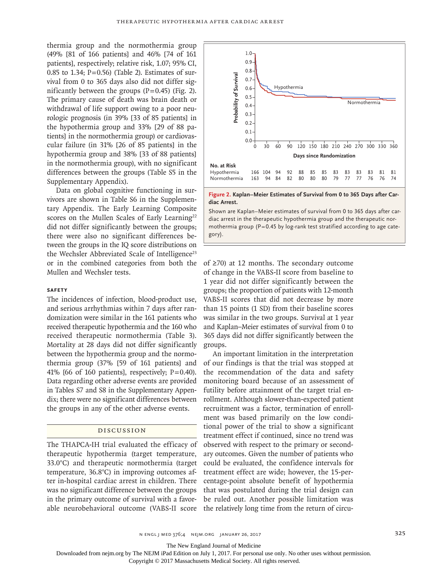thermia group and the normothermia group (49% [81 of 166 patients] and 46% [74 of 161 patients], respectively; relative risk, 1.07; 95% CI, 0.85 to 1.34;  $P=0.56$ ) (Table 2). Estimates of survival from 0 to 365 days also did not differ significantly between the groups  $(P=0.45)$  (Fig. 2). The primary cause of death was brain death or withdrawal of life support owing to a poor neurologic prognosis (in 39% [33 of 85 patients] in the hypothermia group and 33% [29 of 88 patients] in the normothermia group) or cardiovascular failure (in 31% [26 of 85 patients] in the hypothermia group and 38% [33 of 88 patients] in the normothermia group), with no significant differences between the groups (Table S5 in the Supplementary Appendix).

Data on global cognitive functioning in survivors are shown in Table S6 in the Supplementary Appendix. The Early Learning Composite scores on the Mullen Scales of Early Learning<sup>22</sup> did not differ significantly between the groups; there were also no significant differences between the groups in the IQ score distributions on the Wechsler Abbreviated Scale of Intelligence<sup>23</sup> or in the combined categories from both the Mullen and Wechsler tests.

## **Safety**

The incidences of infection, blood-product use, and serious arrhythmias within 7 days after randomization were similar in the 161 patients who received therapeutic hypothermia and the 160 who received therapeutic normothermia (Table 3). Mortality at 28 days did not differ significantly between the hypothermia group and the normothermia group (37% [59 of 161 patients] and 41% [66 of 160 patients], respectively;  $P=0.40$ ). Data regarding other adverse events are provided in Tables S7 and S8 in the Supplementary Appendix; there were no significant differences between the groups in any of the other adverse events.

### Discussion

The THAPCA-IH trial evaluated the efficacy of therapeutic hypothermia (target temperature, 33.0°C) and therapeutic normothermia (target temperature, 36.8°C) in improving outcomes after in-hospital cardiac arrest in children. There was no significant difference between the groups in the primary outcome of survival with a favorable neurobehavioral outcome (VABS-II score



**diac Arrest.**

Shown are Kaplan–Meier estimates of survival from 0 to 365 days after cardiac arrest in the therapeutic hypothermia group and the therapeutic normothermia group ( $P=0.45$  by log-rank test stratified according to age category).

of ≥70) at 12 months. The secondary outcome of change in the VABS-II score from baseline to 1 year did not differ significantly between the groups; the proportion of patients with 12-month VABS-II scores that did not decrease by more than 15 points (1 SD) from their baseline scores was similar in the two groups. Survival at 1 year and Kaplan–Meier estimates of survival from 0 to 365 days did not differ significantly between the groups.

An important limitation in the interpretation of our findings is that the trial was stopped at the recommendation of the data and safety monitoring board because of an assessment of futility before attainment of the target trial enrollment. Although slower-than-expected patient recruitment was a factor, termination of enrollment was based primarily on the low conditional power of the trial to show a significant treatment effect if continued, since no trend was observed with respect to the primary or secondary outcomes. Given the number of patients who could be evaluated, the confidence intervals for treatment effect are wide; however, the 15-percentage-point absolute benefit of hypothermia that was postulated during the trial design can be ruled out. Another possible limitation was the relatively long time from the return of circu-

n engl j med 376;4 nejm.org January 26, 2017 325

The New England Journal of Medicine

Downloaded from nejm.org by The NEJM iPad Edition on July 1, 2017. For personal use only. No other uses without permission.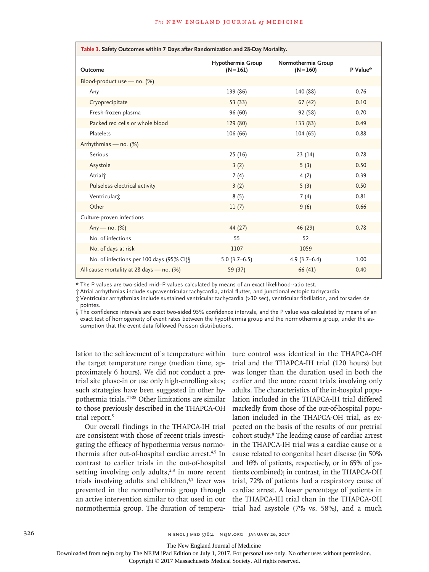|                                          | Hypothermia Group | Normothermia Group |          |  |
|------------------------------------------|-------------------|--------------------|----------|--|
| Outcome                                  | $(N = 161)$       | $(N = 160)$        | P Value* |  |
| Blood-product use - no. (%)              |                   |                    |          |  |
| Any                                      | 139 (86)          | 140 (88)           | 0.76     |  |
| Cryoprecipitate                          | 53(33)            | 67(42)             | 0.10     |  |
| Fresh-frozen plasma                      | 96 (60)           | 92 (58)            | 0.70     |  |
| Packed red cells or whole blood          | 129 (80)          | 133 (83)           | 0.49     |  |
| Platelets                                | 106 (66)          | 104(65)            | 0.88     |  |
| Arrhythmias - no. (%)                    |                   |                    |          |  |
| <b>Serious</b>                           | 25 (16)           | 23(14)             | 0.78     |  |
| Asystole                                 | 3(2)              | 5(3)               | 0.50     |  |
| Atrial <sup>+</sup>                      | 7(4)              | 4(2)               | 0.39     |  |
| Pulseless electrical activity            | 3(2)              | 5(3)               | 0.50     |  |
| Ventriculart                             | 8(5)              | 7(4)               | 0.81     |  |
| Other                                    | 11(7)             | 9(6)               | 0.66     |  |
| Culture-proven infections                |                   |                    |          |  |
| Any — no. $(%)$                          | 44 (27)           | 46 (29)            | 0.78     |  |
| No. of infections                        | 55                | 52                 |          |  |
| No. of days at risk                      | 1107              | 1059               |          |  |
| No. of infections per 100 days (95% CI)  | $5.0(3.7-6.5)$    | $4.9(3.7-6.4)$     | 1.00     |  |
| All-cause mortality at 28 days - no. (%) | 59 (37)           | 66 (41)            | 0.40     |  |

\* The P values are two-sided mid–P values calculated by means of an exact likelihood-ratio test.

† Atrial arrhythmias include supraventricular tachycardia, atrial flutter, and junctional ectopic tachycardia.

‡ Ventricular arrhythmias include sustained ventricular tachycardia (>30 sec), ventricular fibrillation, and torsades de pointes.

§ The confidence intervals are exact two-sided 95% confidence intervals, and the P value was calculated by means of an exact test of homogeneity of event rates between the hypothermia group and the normothermia group, under the assumption that the event data followed Poisson distributions.

lation to the achievement of a temperature within the target temperature range (median time, approximately 6 hours). We did not conduct a pretrial site phase-in or use only high-enrolling sites; such strategies have been suggested in other hypothermia trials.24-28 Other limitations are similar to those previously described in the THAPCA-OH trial report.<sup>5</sup>

Our overall findings in the THAPCA-IH trial are consistent with those of recent trials investigating the efficacy of hypothermia versus normothermia after out-of-hospital cardiac arrest.<sup>4,5</sup> In contrast to earlier trials in the out-of-hospital setting involving only adults, $2,3$  in more recent trials involving adults and children,<sup>4,5</sup> fever was prevented in the normothermia group through an active intervention similar to that used in our normothermia group. The duration of temperature control was identical in the THAPCA-OH trial and the THAPCA-IH trial (120 hours) but was longer than the duration used in both the earlier and the more recent trials involving only adults. The characteristics of the in-hospital population included in the THAPCA-IH trial differed markedly from those of the out-of-hospital population included in the THAPCA-OH trial, as expected on the basis of the results of our pretrial cohort study.8 The leading cause of cardiac arrest in the THAPCA-IH trial was a cardiac cause or a cause related to congenital heart disease (in 50% and 16% of patients, respectively, or in 65% of patients combined); in contrast, in the THAPCA-OH trial, 72% of patients had a respiratory cause of cardiac arrest. A lower percentage of patients in the THAPCA-IH trial than in the THAPCA-OH trial had asystole (7% vs. 58%), and a much

326 **N ENGL | MED 376;4 NEIM.ORG | ANUARY 26, 2017** 

The New England Journal of Medicine

Downloaded from nejm.org by The NEJM iPad Edition on July 1, 2017. For personal use only. No other uses without permission.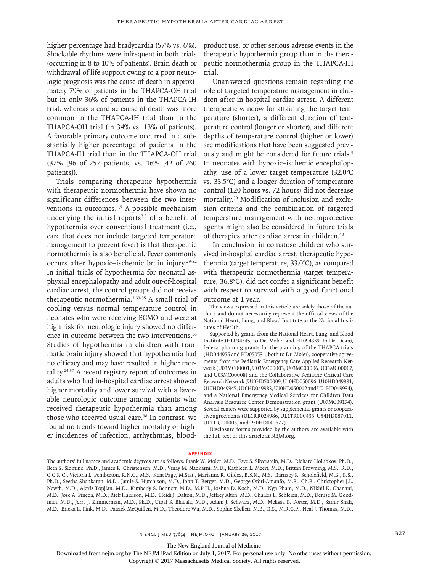higher percentage had bradycardia (57% vs. 6%). Shockable rhythms were infrequent in both trials (occurring in 8 to 10% of patients). Brain death or withdrawal of life support owing to a poor neurologic prognosis was the cause of death in approximately 79% of patients in the THAPCA-OH trial but in only 36% of patients in the THAPCA-IH trial, whereas a cardiac cause of death was more common in the THAPCA-IH trial than in the THAPCA-OH trial (in 34% vs. 13% of patients). A favorable primary outcome occurred in a substantially higher percentage of patients in the THAPCA-IH trial than in the THAPCA-OH trial (37% [96 of 257 patients] vs. 16% [42 of 260 patients]).

Trials comparing therapeutic hypothermia with therapeutic normothermia have shown no significant differences between the two interventions in outcomes.4,5 A possible mechanism underlying the initial reports<sup>2,3</sup> of a benefit of hypothermia over conventional treatment (i.e., care that does not include targeted temperature management to prevent fever) is that therapeutic normothermia is also beneficial. Fever commonly occurs after hypoxic–ischemic brain injury.29-32 In initial trials of hypothermia for neonatal asphyxial encephalopathy and adult out-of-hospital cardiac arrest, the control groups did not receive therapeutic normothermia.2,33-35 A small trial of cooling versus normal temperature control in neonates who were receiving ECMO and were at high risk for neurologic injury showed no difference in outcome between the two interventions.<sup>36</sup> Studies of hypothermia in children with traumatic brain injury showed that hypothermia had no efficacy and may have resulted in higher mortality.<sup>24,37</sup> A recent registry report of outcomes in adults who had in-hospital cardiac arrest showed higher mortality and lower survival with a favorable neurologic outcome among patients who received therapeutic hypothermia than among those who received usual care.38 In contrast, we found no trends toward higher mortality or higher incidences of infection, arrhythmias, bloodproduct use, or other serious adverse events in the therapeutic hypothermia group than in the therapeutic normothermia group in the THAPCA-IH trial.

Unanswered questions remain regarding the role of targeted temperature management in children after in-hospital cardiac arrest. A different therapeutic window for attaining the target temperature (shorter), a different duration of temperature control (longer or shorter), and different depths of temperature control (higher or lower) are modifications that have been suggested previously and might be considered for future trials.<sup>5</sup> In neonates with hypoxic–ischemic encephalopathy, use of a lower target temperature (32.0°C vs. 33.5°C) and a longer duration of temperature control (120 hours vs. 72 hours) did not decrease mortality.39 Modification of inclusion and exclusion criteria and the combination of targeted temperature management with neuroprotective agents might also be considered in future trials of therapies after cardiac arrest in children.<sup>40</sup>

In conclusion, in comatose children who survived in-hospital cardiac arrest, therapeutic hypothermia (target temperature, 33.0°C), as compared with therapeutic normothermia (target temperature, 36.8°C), did not confer a significant benefit with respect to survival with a good functional outcome at 1 year.

The views expressed in this article are solely those of the authors and do not necessarily represent the official views of the National Heart, Lung, and Blood Institute or the National Institutes of Health.

Supported by grants from the National Heart, Lung, and Blood Institute (HL094345, to Dr. Moler; and HL094339, to Dr. Dean), federal planning grants for the planning of the THAPCA trials (HD044955 and HD050531, both to Dr. Moler), cooperative agreements from the Pediatric Emergency Care Applied Research Network (U03MC00001, U03MC00003, U03MC00006, U03MC00007, and U03MC00008) and the Collaborative Pediatric Critical Care Research Network (U10HD500009, U10HD050096, U10HD049981, U10HD049945, U10HD049983, U10HD050012 and U01HD049934), and a National Emergency Medical Services for Children Data Analysis Resource Center Demonstration grant (U07MC09174). Several centers were supported by supplemental grants or cooperative agreements (UL1RR024986, UL1TR000433, U54HD087011, UL1TR000003, and P30HD040677).

Disclosure forms provided by the authors are available with the full text of this article at NEJM.org.

#### **Appendix**

The authors' full names and academic degrees are as follows: Frank W. Moler, M.D., Faye S. Silverstein, M.D., Richard Holubkov, Ph.D., Beth S. Slomine, Ph.D., James R. Christensen, M.D., Vinay M. Nadkarni, M.D., Kathleen L. Meert, M.D., Brittan Browning, M.S., R.D., C.C.R.C., Victoria L. Pemberton, R.N.C., M.S., Kent Page, M.Stat., Marianne R. Gildea, B.S.N., M.S., Barnaby R. Scholefield, M.B., B.S., Ph.D., Seetha Shankaran, M.D., Jamie S. Hutchison, M.D., John T. Berger, M.D., George Ofori-Amanfo, M.B., Ch.B., Christopher J.L. Newth, M.D., Alexis Topjian, M.D., Kimberly S. Bennett, M.D., M.P.H., Joshua D. Koch, M.D., Nga Pham, M.D., Nikhil K. Chanani, M.D., Jose A. Pineda, M.D., Rick Harrison, M.D., Heidi J. Dalton, M.D., Jeffrey Alten, M.D., Charles L. Schleien, M.D., Denise M. Goodman, M.D., Jerry J. Zimmerman, M.D., Ph.D., Utpal S. Bhalala, M.D., Adam J. Schwarz, M.D., Melissa B. Porter, M.D., Samir Shah, M.D., Ericka L. Fink, M.D., Patrick McQuillen, M.D., Theodore Wu, M.D., Sophie Skellett, M.B., B.S., M.R.C.P., Neal J. Thomas, M.D.,

The New England Journal of Medicine

Downloaded from nejm.org by The NEJM iPad Edition on July 1, 2017. For personal use only. No other uses without permission.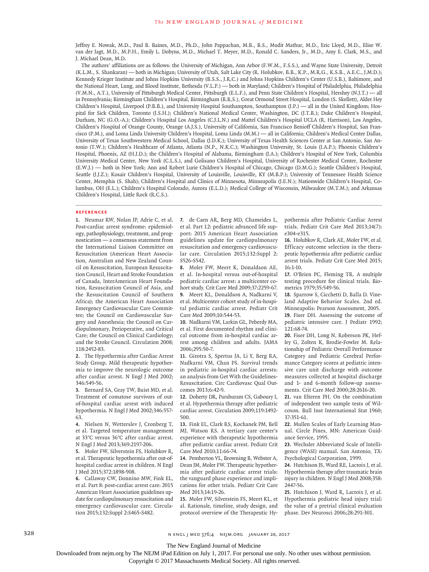Jeffrey E. Nowak, M.D., Paul B. Baines, M.D., Ph.D., John Pappachan, M.B., B.S., Mudit Mathur, M.D., Eric Lloyd, M.D., Elise W. van der Jagt, M.D., M.P.H., Emily L. Dobyns, M.D., Michael T. Meyer, M.D., Ronald C. Sanders, Jr., M.D., Amy E. Clark, M.S., and J. Michael Dean, M.D.

The authors' affiliations are as follows: the University of Michigan, Ann Arbor (F.W.M., F.S.S.), and Wayne State University, Detroit (K.L.M., S. Shankaran) — both in Michigan; University of Utah, Salt Lake City (R. Holubkov, B.B., K.P., M.R.G., K.S.B., A.E.C., J.M.D.); Kennedy Krieger Institute and Johns Hopkins University (B.S.S., J.R.C.) and Johns Hopkins Children's Center (U.S.B.), Baltimore, and the National Heart, Lung, and Blood Institute, Bethesda (V.L.P.) — both in Maryland; Children's Hospital of Philadelphia, Philadelphia (V.M.N., A.T.), University of Pittsburgh Medical Center, Pittsburgh (E.L.F.), and Penn State Children's Hospital, Hershey (N.J.T.) — all in Pennsylvania; Birmingham Children's Hospital, Birmingham (B.R.S.), Great Ormond Street Hospital, London (S. Skellett), Alder Hey Children's Hospital, Liverpool (P.B.B.), and University Hospital Southampton, Southampton (J.P.) — all in the United Kingdom; Hospital for Sick Children, Toronto (J.S.H.); Children's National Medical Center, Washington, DC (J.T.B.); Duke Children's Hospital, Durham, NC (G.O.-A.); Children's Hospital Los Angeles (C.J.L.N.) and Mattel Children's Hospital UCLA (R. Harrison), Los Angeles, Children's Hospital of Orange County, Orange (A.J.S.), University of California, San Francisco Benioff Children's Hospital, San Francisco (P.M.), and Loma Linda University Children's Hospital, Loma Linda (M.M.) — all in California; Children's Medical Center Dallas, University of Texas Southwestern Medical School, Dallas (J.D.K.); University of Texas Health Sciences Center at San Antonio, San Antonio (T.W.); Children's Healthcare of Atlanta, Atlanta (N.P., N.K.C.); Washington University, St. Louis (J.A.P.); Phoenix Children's Hospital, Phoenix, AZ (H.J.D.); the Children's Hospital of Alabama, Birmingham (J.A.); Children's Hospital of New York, Columbia University Medical Center, New York (C.L.S.), and Golisano Children's Hospital, University of Rochester Medical Center, Rochester (E.W.J.) — both in New York; Ann and Robert Lurie Children's Hospital of Chicago, Chicago (D.M.G.); Seattle Children's Hospital, Seattle (J.J.Z.); Kosair Children's Hospital, University of Louisville, Louisville, KY (M.B.P.); University of Tennessee Health Science Center, Memphis (S. Shah); Children's Hospital and Clinics of Minnesota, Minneapolis (J.E.N.); Nationwide Children's Hospital, Columbus, OH (E.L.); Children's Hospital Colorado, Aurora (E.L.D.); Medical College of Wisconsin, Milwaukee (M.T.M.); and Arkansas Children's Hospital, Little Rock (R.C.S.).

#### **References**

**1.** Neumar RW, Nolan JP, Adrie C, et al. Post-cardiac arrest syndrome: epidemiology, pathophysiology, treatment, and prognostication — a consensus statement from the International Liaison Committee on Resuscitation (American Heart Association, Australian and New Zealand Council on Resuscitation, European Resuscitation Council, Heart and Stroke Foundation of Canada, InterAmerican Heart Foundation, Resuscitation Council of Asia, and the Resuscitation Council of Southern Africa); the American Heart Association Emergency Cardiovascular Care Committee; the Council on Cardiovascular Surgery and Anesthesia; the Council on Cardiopulmonary, Perioperative, and Critical Care; the Council on Clinical Cardiology; and the Stroke Council. Circulation 2008; 118:2452-83.

**2.** The Hypothermia after Cardiac Arrest Study Group. Mild therapeutic hypothermia to improve the neurologic outcome after cardiac arrest. N Engl J Med 2002; 346:549-56.

**3.** Bernard SA, Gray TW, Buist MD, et al. Treatment of comatose survivors of outof-hospital cardiac arrest with induced hypothermia. N Engl J Med 2002;346:557- 63.

**4.** Nielsen N, Wetterslev J, Cronberg T, et al. Targeted temperature management at 33°C versus 36°C after cardiac arrest. N Engl J Med 2013;369:2197-206.

**5.** Moler FW, Silverstein FS, Holubkov R, et al. Therapeutic hypothermia after out-ofhospital cardiac arrest in children. N Engl J Med 2015;372:1898-908.

**6.** Callaway CW, Donnino MW, Fink EL, et al. Part 8: post-cardiac arrest care: 2015 American Heart Association guidelines update for cardiopulmonary resuscitation and emergency cardiovascular care. Circulation 2015;132:Suppl 2:S465-S482.

**7.** de Caen AR, Berg MD, Chameides L, et al. Part 12: pediatric advanced life support: 2015 American Heart Association guidelines update for cardiopulmonary resuscitation and emergency cardiovascular care. Circulation 2015;132:Suppl 2: S526-S542.

**8.** Moler FW, Meert K, Donaldson AE, et al. In-hospital versus out-of-hospital pediatric cardiac arrest: a multicenter cohort study. Crit Care Med 2009;37:2259-67.

**9.** Meert KL, Donaldson A, Nadkarni V, et al. Multicenter cohort study of in-hospital pediatric cardiac arrest. Pediatr Crit Care Med 2009;10:544-53.

**10.** Nadkarni VM, Larkin GL, Peberdy MA, et al. First documented rhythm and clinical outcome from in-hospital cardiac arrest among children and adults. JAMA 2006;295:50-7.

**11.** Girotra S, Spertus JA, Li Y, Berg RA, Nadkarni VM, Chan PS. Survival trends in pediatric in-hospital cardiac arrests: an analysis from Get With the Guidelines-Resuscitation. Circ Cardiovasc Qual Outcomes 2013;6:42-9.

**12.** Doherty DR, Parshuram CS, Gaboury I, et al. Hypothermia therapy after pediatric cardiac arrest. Circulation 2009;119:1492- 500.

**13.** Fink EL, Clark RS, Kochanek PM, Bell MJ, Watson RS. A tertiary care center's experience with therapeutic hypothermia after pediatric cardiac arrest. Pediatr Crit Care Med 2010;11:66-74.

**14.** Pemberton VL, Browning B, Webster A, Dean JM, Moler FW. Therapeutic hypothermia after pediatric cardiac arrest trials: the vanguard phase experience and implications for other trials. Pediatr Crit Care Med 2013;14:19-26.

**15.** Moler FW, Silverstein FS, Meert KL, et al. Rationale, timeline, study design, and protocol overview of the Therapeutic Hypothermia after Pediatric Cardiac Arrest trials. Pediatr Crit Care Med 2013;14(7): e304-e315.

**16.** Holubkov R, Clark AE, Moler FW, et al. Efficacy outcome selection in the therapeutic hypothermia after pediatric cardiac arrest trials. Pediatr Crit Care Med 2015; 16:1-10.

**17.** O'Brien PC, Fleming TR. A multiple testing procedure for clinical trials. Biometrics 1979;35:549-56.

**18.** Sparrow S, Cicchetti D, Balla D. Vineland Adaptive Behavior Scales. 2nd ed. Minneapolis: Pearson Assessment, 2005. **19.** Fiser DH. Assessing the outcome of pediatric intensive care. J Pediatr 1992; 121:68-74.

**20.** Fiser DH, Long N, Roberson PK, Hefley G, Zolten K, Brodie-Fowler M. Relationship of Pediatric Overall Performance Category and Pediatric Cerebral Performance Category scores at pediatric intensive care unit discharge with outcome measures collected at hospital discharge and 1- and 6-month follow-up assessments. Crit Care Med 2000;28:2616-20.

**21.** van Elteren PH. On the combination of independent two sample tests of Wilcoxon. Bull Inst International Stat 1960; 37:351-61.

**22.** Mullen Scales of Early Learning Manual. Circle Pines, MN: American Guidance Service, 1995.

**23.** Wechsler Abbreviated Scale of Intelligence (WASI) manual. San Antonio, TX: Psychological Corporation, 1999.

**24.** Hutchison JS, Ward RE, Lacroix J, et al. Hypothermia therapy after traumatic brain injury in children. N Engl J Med 2008;358: 2447-56.

**25.** Hutchison J, Ward R, Lacroix J, et al. Hypothermia pediatric head injury trial: the value of a pretrial clinical evaluation phase. Dev Neurosci 2006;28:291-301.

328 n engl j med 376;4 nejm.org January 26, 2017

The New England Journal of Medicine

Downloaded from nejm.org by The NEJM iPad Edition on July 1, 2017. For personal use only. No other uses without permission.